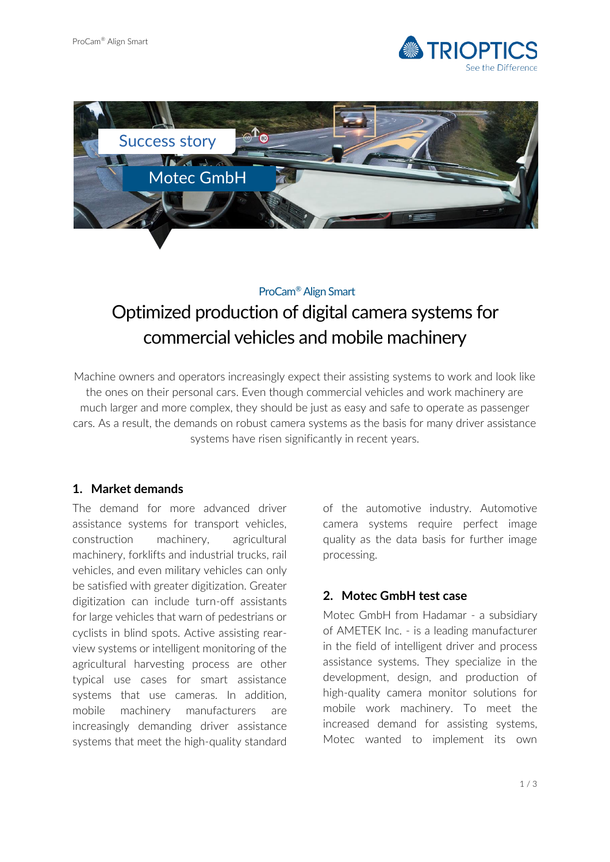



#### ProCam® Align Smart

# Optimized production of digital camera systems for commercial vehicles and mobile machinery

Machine owners and operators increasingly expect their assisting systems to work and look like the ones on their personal cars. Even though commercial vehicles and work machinery are much larger and more complex, they should be just as easy and safe to operate as passenger cars. As a result, the demands on robust camera systems as the basis for many driver assistance systems have risen significantly in recent years.

## **1. Market demands**

The demand for more advanced driver assistance systems for transport vehicles, construction machinery, agricultural machinery, forklifts and industrial trucks, rail vehicles, and even military vehicles can only be satisfied with greater digitization. Greater digitization can include turn-off assistants for large vehicles that warn of pedestrians or cyclists in blind spots. Active assisting rearview systems or intelligent monitoring of the agricultural harvesting process are other typical use cases for smart assistance systems that use cameras. In addition, mobile machinery manufacturers are increasingly demanding driver assistance systems that meet the high-quality standard

of the automotive industry. Automotive camera systems require perfect image quality as the data basis for further image processing.

## **2. Motec GmbH test case**

Motec GmbH from Hadamar - a subsidiary of AMETEK Inc. - is a leading manufacturer in the field of intelligent driver and process assistance systems. They specialize in the development, design, and production of high-quality camera monitor solutions for mobile work machinery. To meet the increased demand for assisting systems, Motec wanted to implement its own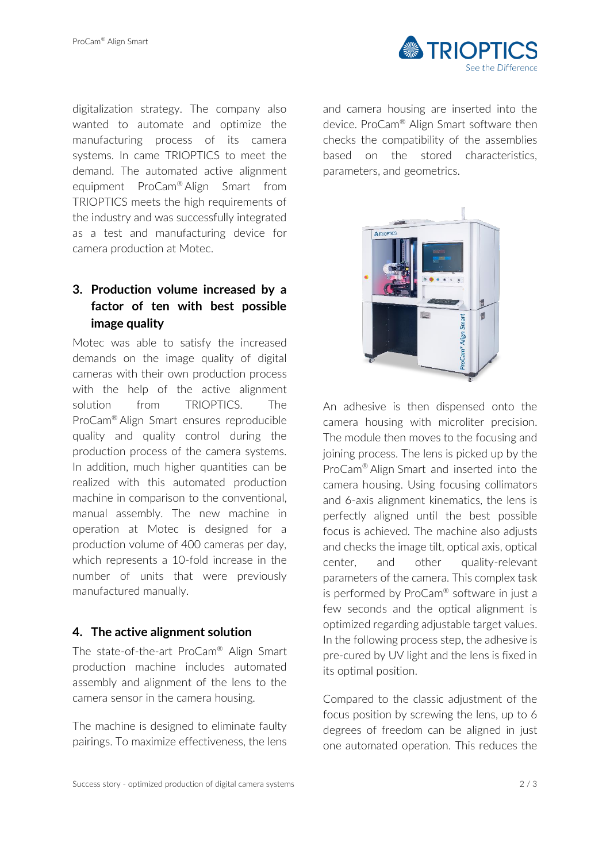

digitalization strategy. The company also wanted to automate and optimize the manufacturing process of its camera systems. In came TRIOPTICS to meet the demand. The automated active alignment equipment ProCam® Align Smart from TRIOPTICS meets the high requirements of the industry and was successfully integrated as a test and manufacturing device for camera production at Motec.

# **3. Production volume increased by a factor of ten with best possible image quality**

Motec was able to satisfy the increased demands on the image quality of digital cameras with their own production process with the help of the active alignment solution from TRIOPTICS. The ProCam® Align Smart ensures reproducible quality and quality control during the production process of the camera systems. In addition, much higher quantities can be realized with this automated production machine in comparison to the conventional, manual assembly. The new machine in operation at Motec is designed for a production volume of 400 cameras per day, which represents a 10-fold increase in the number of units that were previously manufactured manually.

#### **4. The active alignment solution**

The state-of-the-art ProCam® Align Smart production machine includes automated assembly and alignment of the lens to the camera sensor in the camera housing.

The machine is designed to eliminate faulty pairings. To maximize effectiveness, the lens

and camera housing are inserted into the device. ProCam® Align Smart software then checks the compatibility of the assemblies based on the stored characteristics, parameters, and geometrics.



An adhesive is then dispensed onto the camera housing with microliter precision. The module then moves to the focusing and joining process. The lens is picked up by the ProCam® Align Smart and inserted into the camera housing. Using focusing collimators and 6-axis alignment kinematics, the lens is perfectly aligned until the best possible focus is achieved. The machine also adjusts and checks the image tilt, optical axis, optical center, and other quality-relevant parameters of the camera. This complex task is performed by ProCam® software in just a few seconds and the optical alignment is optimized regarding adjustable target values. In the following process step, the adhesive is pre-cured by UV light and the lens is fixed in its optimal position.

Compared to the classic adjustment of the focus position by screwing the lens, up to 6 degrees of freedom can be aligned in just one automated operation. This reduces the